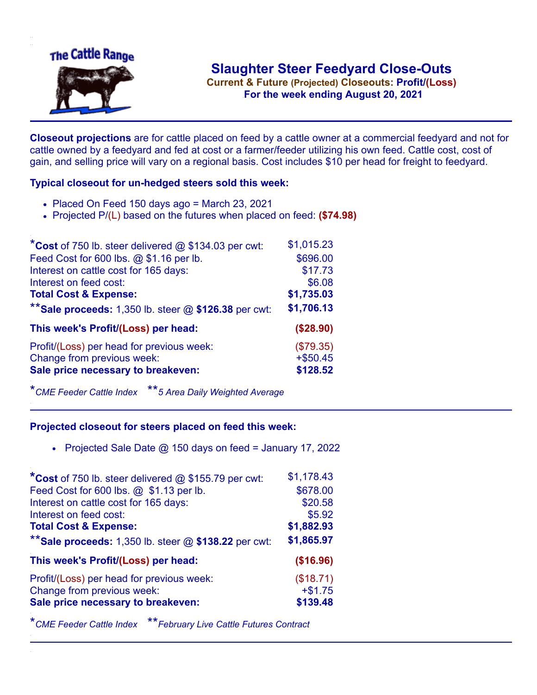

**Current & Future (Projected) Closeouts: Profit/(Loss)** .**For the week ending August 20, 2021**

**Closeout projections** are for cattle placed on feed by a cattle owner at a commercial feedyard and not for cattle owned by a feedyard and fed at cost or a farmer/feeder utilizing his own feed. Cattle cost, cost of gain, and selling price will vary on a regional basis. Cost includes \$10 per head for freight to feedyard.

## **Typical closeout for un-hedged steers sold this week:**

- $\bullet$  Placed On Feed 150 days ago = March 23, 2021
- Projected P/(L) based on the futures when placed on feed: **(\$74.98)**

| *Cost of 750 lb. steer delivered $@$ \$134.03 per cwt:  | \$1,015.23  |
|---------------------------------------------------------|-------------|
| Feed Cost for 600 lbs. @ \$1.16 per lb.                 | \$696.00    |
| Interest on cattle cost for 165 days:                   | \$17.73     |
| Interest on feed cost:                                  | \$6.08      |
| <b>Total Cost &amp; Expense:</b>                        | \$1,735.03  |
| ** Sale proceeds: 1,350 lb. steer $@$ \$126.38 per cwt: | \$1,706.13  |
| This week's Profit/(Loss) per head:                     | (\$28.90)   |
| Profit/(Loss) per head for previous week:               | (\$79.35)   |
| Change from previous week:                              | $+$ \$50.45 |
| Sale price necessary to breakeven:                      | \$128.52    |

\**CME Feeder Cattle Index* \*\**5 Area Daily Weighted Average*

## **Projected closeout for steers placed on feed this week:**

• Projected Sale Date  $@$  150 days on feed = January 17, 2022

| *Cost of 750 lb. steer delivered $@$ \$155.79 per cwt:  | \$1,178.43 |
|---------------------------------------------------------|------------|
| Feed Cost for 600 lbs. @ \$1.13 per lb.                 | \$678.00   |
| Interest on cattle cost for 165 days:                   | \$20.58    |
| Interest on feed cost:                                  | \$5.92     |
| <b>Total Cost &amp; Expense:</b>                        | \$1,882.93 |
| ** Sale proceeds: 1,350 lb. steer $@$ \$138.22 per cwt: | \$1,865.97 |
| This week's Profit/(Loss) per head:                     | (\$16.96)  |
| Profit/(Loss) per head for previous week:               | (\$18.71)  |
| Change from previous week:                              | $+ $1.75$  |
| Sale price necessary to breakeven:                      | \$139.48   |

\**CME Feeder Cattle Index* \*\**February Live Cattle Futures Contract*